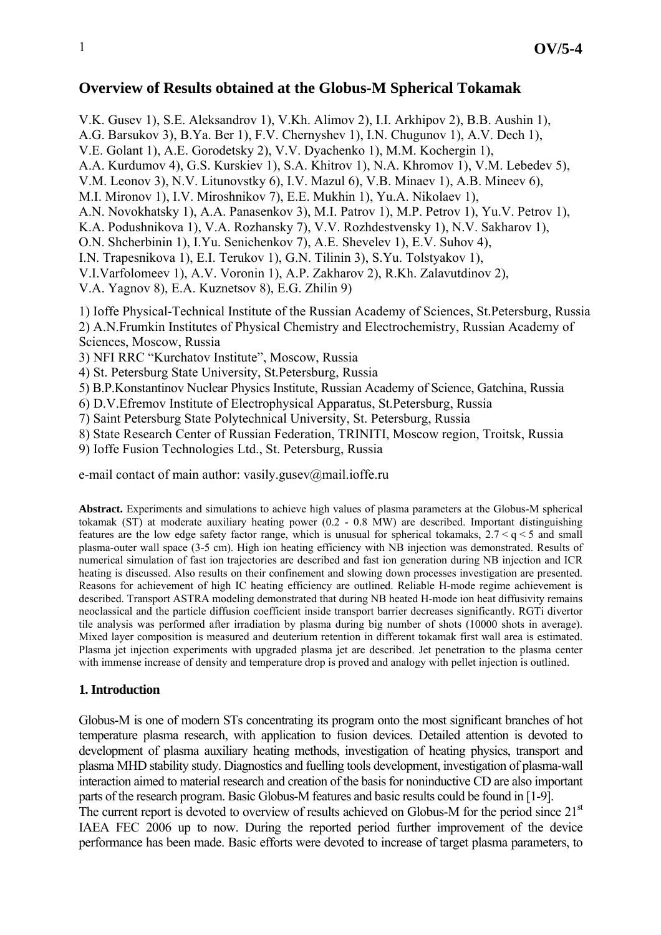# **Overview of Results obtained at the Globus-M Spherical Tokamak**

V.K. Gusev 1), S.E. Aleksandrov 1), V.Kh. Alimov 2), I.I. Arkhipov 2), B.B. Aushin 1),

A.G. Barsukov 3), B.Ya. Ber 1), F.V. Chernyshev 1), I.N. Chugunov 1), A.V. Dech 1),

V.E. Golant 1), A.E. Gorodetsky 2), V.V. Dyachenko 1), M.M. Kochergin 1),

A.A. Kurdumov 4), G.S. Kurskiev 1), S.A. Khitrov 1), N.A. Khromov 1), V.M. Lebedev 5),

V.M. Leonov 3), N.V. Litunovstky 6), I.V. Mazul 6), V.B. Minaev 1), A.B. Mineev 6),

M.I. Mironov 1), I.V. Miroshnikov 7), E.E. Mukhin 1), Yu.A. Nikolaev 1),

A.N. Novokhatsky 1), A.A. Panasenkov 3), M.I. Patrov 1), M.P. Petrov 1), Yu.V. Petrov 1),

K.A. Podushnikova 1), V.A. Rozhansky 7), V.V. Rozhdestvensky 1), N.V. Sakharov 1),

O.N. Shcherbinin 1), I.Yu. Senichenkov 7), A.E. Shevelev 1), E.V. Suhov 4),

I.N. Trapesnikova 1), E.I. Terukov 1), G.N. Tilinin 3), S.Yu. Tolstyakov 1),

V.I.Varfolomeev 1), A.V. Voronin 1), A.P. Zakharov 2), R.Kh. Zalavutdinov 2),

V.A. Yagnov 8), E.A. Kuznetsov 8), E.G. Zhilin 9)

1) Ioffe Physical-Technical Institute of the Russian Academy of Sciences, St.Petersburg, Russia 2) A.N.Frumkin Institutes of Physical Chemistry and Electrochemistry, Russian Academy of Sciences, Moscow, Russia

3) NFI RRC "Kurchatov Institute", Moscow, Russia

4) St. Petersburg State University, St.Petersburg, Russia

5) B.P.Konstantinov Nuclear Physics Institute, Russian Academy of Science, Gatchina, Russia

6) D.V.Efremov Institute of Electrophysical Apparatus, St.Petersburg, Russia

7) Saint Petersburg State Polytechnical University, St. Petersburg, Russia

8) State Research Center of Russian Federation, TRINITI, Moscow region, Troitsk, Russia

9) Ioffe Fusion Technologies Ltd., St. Petersburg, Russia

e-mail contact of main author: vasily.gusev@mail.ioffe.ru

**Abstract.** Experiments and simulations to achieve high values of plasma parameters at the Globus-M spherical tokamak (ST) at moderate auxiliary heating power (0.2 - 0.8 MW) are described. Important distinguishing features are the low edge safety factor range, which is unusual for spherical tokamaks, 2.7 < q < 5 and small plasma-outer wall space (3-5 cm). High ion heating efficiency with NB injection was demonstrated. Results of numerical simulation of fast ion trajectories are described and fast ion generation during NB injection and ICR heating is discussed. Also results on their confinement and slowing down processes investigation are presented. Reasons for achievement of high IC heating efficiency are outlined. Reliable H-mode regime achievement is described. Transport ASTRA modeling demonstrated that during NB heated H-mode ion heat diffusivity remains neoclassical and the particle diffusion coefficient inside transport barrier decreases significantly. RGTi divertor tile analysis was performed after irradiation by plasma during big number of shots (10000 shots in average). Mixed layer composition is measured and deuterium retention in different tokamak first wall area is estimated. Plasma jet injection experiments with upgraded plasma jet are described. Jet penetration to the plasma center with immense increase of density and temperature drop is proved and analogy with pellet injection is outlined.

### **1. Introduction**

Globus-M is one of modern STs concentrating its program onto the most significant branches of hot temperature plasma research, with application to fusion devices. Detailed attention is devoted to development of plasma auxiliary heating methods, investigation of heating physics, transport and plasma MHD stability study. Diagnostics and fuelling tools development, investigation of plasma-wall interaction aimed to material research and creation of the basis for noninductive CD are also important parts of the research program. Basic Globus-M features and basic results could be found in [1-9]. The current report is devoted to overview of results achieved on Globus-M for the period since  $21<sup>st</sup>$ IAEA FEC 2006 up to now. During the reported period further improvement of the device performance has been made. Basic efforts were devoted to increase of target plasma parameters, to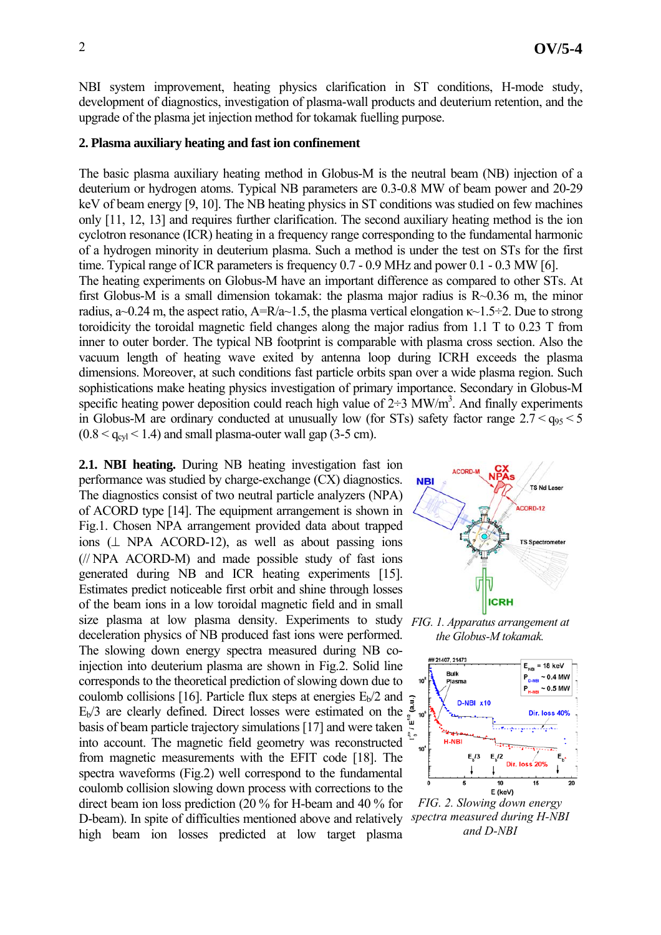NBI system improvement, heating physics clarification in ST conditions, H-mode study, development of diagnostics, investigation of plasma-wall products and deuterium retention, and the upgrade of the plasma jet injection method for tokamak fuelling purpose.

#### **2. Plasma auxiliary heating and fast ion confinement**

The basic plasma auxiliary heating method in Globus-M is the neutral beam (NB) injection of a deuterium or hydrogen atoms. Typical NB parameters are 0.3-0.8 MW of beam power and 20-29 keV of beam energy [9, 10]. The NB heating physics in ST conditions was studied on few machines only [11, 12, 13] and requires further clarification. The second auxiliary heating method is the ion cyclotron resonance (ICR) heating in a frequency range corresponding to the fundamental harmonic of a hydrogen minority in deuterium plasma. Such a method is under the test on STs for the first time. Typical range of ICR parameters is frequency 0.7 - 0.9 MHz and power 0.1 - 0.3 MW [6].

The heating experiments on Globus-M have an important difference as compared to other STs. At first Globus-M is a small dimension tokamak: the plasma major radius is  $R\sim 0.36$  m, the minor radius, a~0.24 m, the aspect ratio, A=R/a~1.5, the plasma vertical elongation  $\kappa$ ~1.5÷2. Due to strong toroidicity the toroidal magnetic field changes along the major radius from 1.1 T to 0.23 T from inner to outer border. The typical NB footprint is comparable with plasma cross section. Also the vacuum length of heating wave exited by antenna loop during ICRH exceeds the plasma dimensions. Moreover, at such conditions fast particle orbits span over a wide plasma region. Such sophistications make heating physics investigation of primary importance. Secondary in Globus-M specific heating power deposition could reach high value of  $2\div 3$  MW/m<sup>3</sup>. And finally experiments in Globus-M are ordinary conducted at unusually low (for STs) safety factor range  $2.7 < q_{95} < 5$  $(0.8 < q_{\text{cyl}} < 1.4)$  and small plasma-outer wall gap (3-5 cm).

**2.1. NBI heating.** During NB heating investigation fast ion performance was studied by charge-exchange (CX) diagnostics. The diagnostics consist of two neutral particle analyzers (NPA) of ACORD type [14]. The equipment arrangement is shown in Fig.1. Chosen NPA arrangement provided data about trapped ions  $(L$  NPA ACORD-12), as well as about passing ions (// NPA ACORD-M) and made possible study of fast ions generated during NB and ICR heating experiments [15]. Estimates predict noticeable first orbit and shine through losses of the beam ions in a low toroidal magnetic field and in small size plasma at low plasma density. Experiments to study deceleration physics of NB produced fast ions were performed. The slowing down energy spectra measured during NB coinjection into deuterium plasma are shown in Fig.2. Solid line corresponds to the theoretical prediction of slowing down due to coulomb collisions [16]. Particle flux steps at energies  $E_b/2$  and  $E_b/3$  are clearly defined. Direct losses were estimated on the basis of beam particle trajectory simulations [17] and were taken into account. The magnetic field geometry was reconstructed from magnetic measurements with the EFIT code [18]. The spectra waveforms (Fig.2) well correspond to the fundamental coulomb collision slowing down process with corrections to the direct beam ion loss prediction (20 % for H-beam and 40 % for D-beam). In spite of difficulties mentioned above and relatively high beam ion losses predicted at low target plasma



*FIG. 1. Apparatus arrangement at the Globus-M tokamak.* 



*FIG. 2. Slowing down energy spectra measured during H-NBI and D-NBI*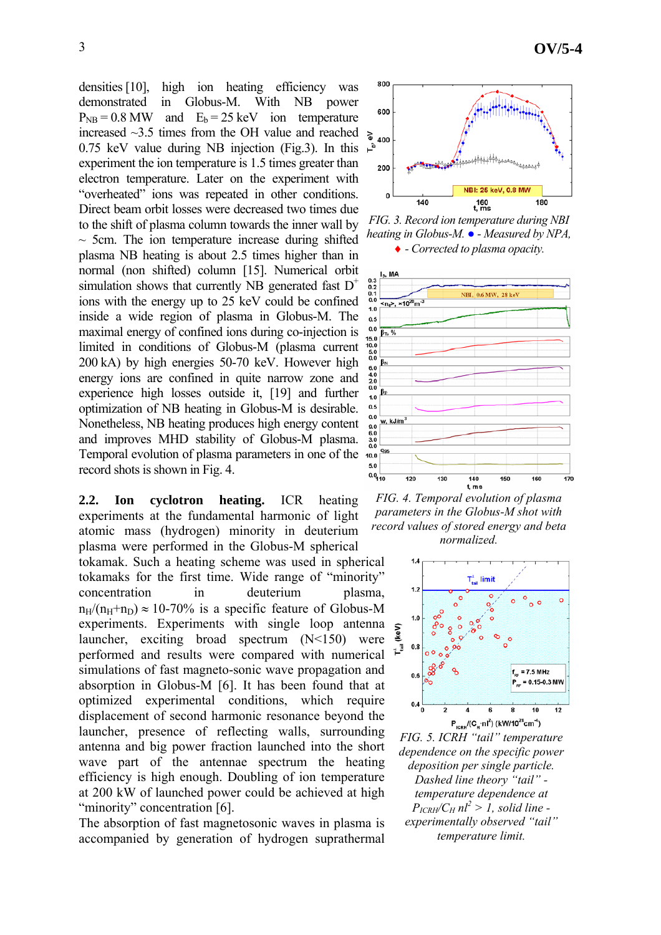densities [10], high ion heating efficiency was demonstrated in Globus-M. With NB power  $P_{NR} = 0.8$  MW and  $E_b = 25$  keV ion temperature increased  $\sim$ 3.5 times from the OH value and reached  $\geq$ 0.75 keV value during NB injection (Fig.3). In this  $\vec{F}$ experiment the ion temperature is 1.5 times greater than electron temperature. Later on the experiment with "overheated" ions was repeated in other conditions. Direct beam orbit losses were decreased two times due to the shift of plasma column towards the inner wall by  $\sim$  5cm. The ion temperature increase during shifted plasma NB heating is about 2.5 times higher than in normal (non shifted) column [15]. Numerical orbit simulation shows that currently NB generated fast  $D^+$ ions with the energy up to 25 keV could be confined inside a wide region of plasma in Globus-M. The maximal energy of confined ions during co-injection is limited in conditions of Globus-M (plasma current 200 kA) by high energies 50-70 keV. However high energy ions are confined in quite narrow zone and experience high losses outside it, [19] and further optimization of NB heating in Globus-M is desirable.

 $0.5$  $0.0$ Nonetheless, NB heating produces high energy content and improves MHD stability of Globus-M plasma. Temporal evolution of plasma parameters in one of the  $10.0$  $5.0$ record shots is shown in Fig. 4.

**2.2. Ion cyclotron heating.** ICR heating experiments at the fundamental harmonic of light atomic mass (hydrogen) minority in deuterium plasma were performed in the Globus-M spherical tokamak. Such a heating scheme was used in spherical tokamaks for the first time. Wide range of "minority" concentration in deuterium plasma,  $n_H/(n_H+n_D) \approx 10-70\%$  is a specific feature of Globus-M experiments. Experiments with single loop antenna launcher, exciting broad spectrum (N<150) were performed and results were compared with numerical simulations of fast magneto-sonic wave propagation and absorption in Globus-M [6]. It has been found that at optimized experimental conditions, which require displacement of second harmonic resonance beyond the launcher, presence of reflecting walls, surrounding antenna and big power fraction launched into the short wave part of the antennae spectrum the heating efficiency is high enough. Doubling of ion temperature

"minority" concentration [6]. The absorption of fast magnetosonic waves in plasma is accompanied by generation of hydrogen suprathermal

at 200 kW of launched power could be achieved at high



*FIG. 3. Record ion temperature during NBI heating in Globus-M. ● - Measured by NPA,*  ♦ *- Corrected to plasma opacity.* 



*FIG. 4. Temporal evolution of plasma parameters in the Globus-M shot with record values of stored energy and beta normalized.*



*FIG. 5. ICRH "tail" temperature dependence on the specific power deposition per single particle. Dashed line theory "tail" temperature dependence at*   $P_{ICRH}/C_H$   $nl^2 > 1$ , solid line *experimentally observed "tail" temperature limit.*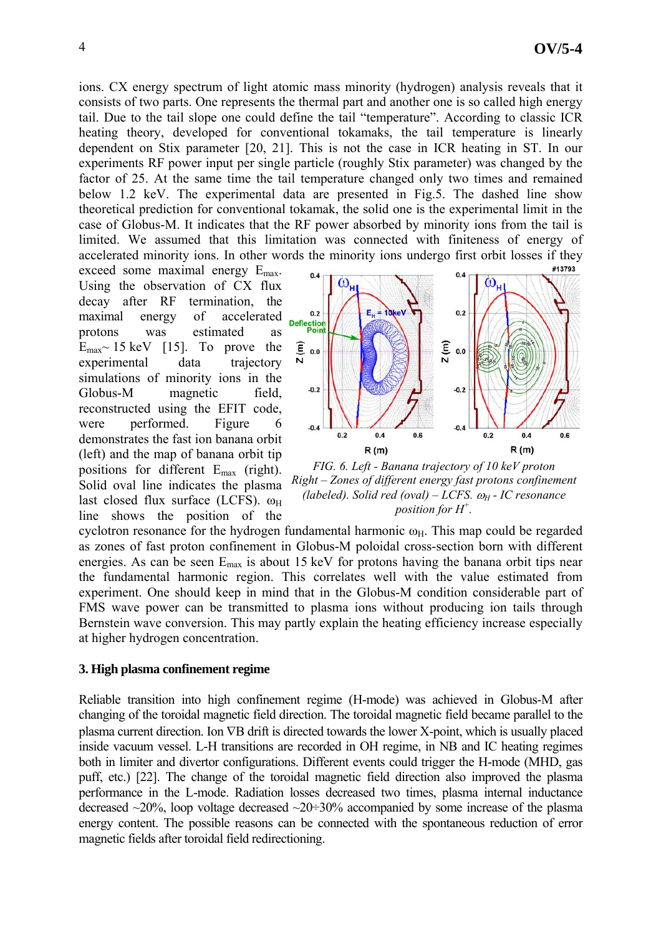ions. CX energy spectrum of light atomic mass minority (hydrogen) analysis reveals that it consists of two parts. One represents the thermal part and another one is so called high energy tail. Due to the tail slope one could define the tail "temperature". According to classic ICR heating theory, developed for conventional tokamaks, the tail temperature is linearly dependent on Stix parameter [20, 21]. This is not the case in ICR heating in ST. In our experiments RF power input per single particle (roughly Stix parameter) was changed by the factor of 25. At the same time the tail temperature changed only two times and remained below 1.2 keV. The experimental data are presented in Fig.5. The dashed line show theoretical prediction for conventional tokamak, the solid one is the experimental limit in the case of Globus-M. It indicates that the RF power absorbed by minority ions from the tail is limited. We assumed that this limitation was connected with finiteness of energy of accelerated minority ions. In other words the minority ions undergo first orbit losses if they

exceed some maximal energy  $E_{\text{max}}$ . Using the observation of CX flux decay after RF termination, the maximal energy of accelerated protons was estimated as  $E_{\text{max}}$  15 keV [15]. To prove the experimental data trajectory simulations of minority ions in the Globus-M magnetic field, reconstructed using the EFIT code, were performed. Figure 6 demonstrates the fast ion banana orbit (left) and the map of banana orbit tip positions for different Emax (right). Solid oval line indicates the plasma last closed flux surface (LCFS).  $\omega_H$ line shows the position of the



*FIG. 6. Left - Banana trajectory of 10 keV proton Right – Zones of different energy fast protons confinement (labeled). Solid red (oval) – LCFS.* ω*H - IC resonance position for H<sup>+</sup> .* 

cyclotron resonance for the hydrogen fundamental harmonic  $\omega_H$ . This map could be regarded as zones of fast proton confinement in Globus-M poloidal cross-section born with different energies. As can be seen  $E_{\text{max}}$  is about 15 keV for protons having the banana orbit tips near the fundamental harmonic region. This correlates well with the value estimated from experiment. One should keep in mind that in the Globus-M condition considerable part of FMS wave power can be transmitted to plasma ions without producing ion tails through Bernstein wave conversion. This may partly explain the heating efficiency increase especially at higher hydrogen concentration.

### **3. High plasma confinement regime**

Reliable transition into high confinement regime (H-mode) was achieved in Globus-M after changing of the toroidal magnetic field direction. The toroidal magnetic field became parallel to the plasma current direction. Ion ∇B drift is directed towards the lower X-point, which is usually placed inside vacuum vessel. L-H transitions are recorded in OH regime, in NB and IC heating regimes both in limiter and divertor configurations. Different events could trigger the H-mode (MHD, gas puff, etc.) [22]. The change of the toroidal magnetic field direction also improved the plasma performance in the L-mode. Radiation losses decreased two times, plasma internal inductance decreased  $\sim$ 20%, loop voltage decreased  $\sim$ 20÷30% accompanied by some increase of the plasma energy content. The possible reasons can be connected with the spontaneous reduction of error magnetic fields after toroidal field redirectioning.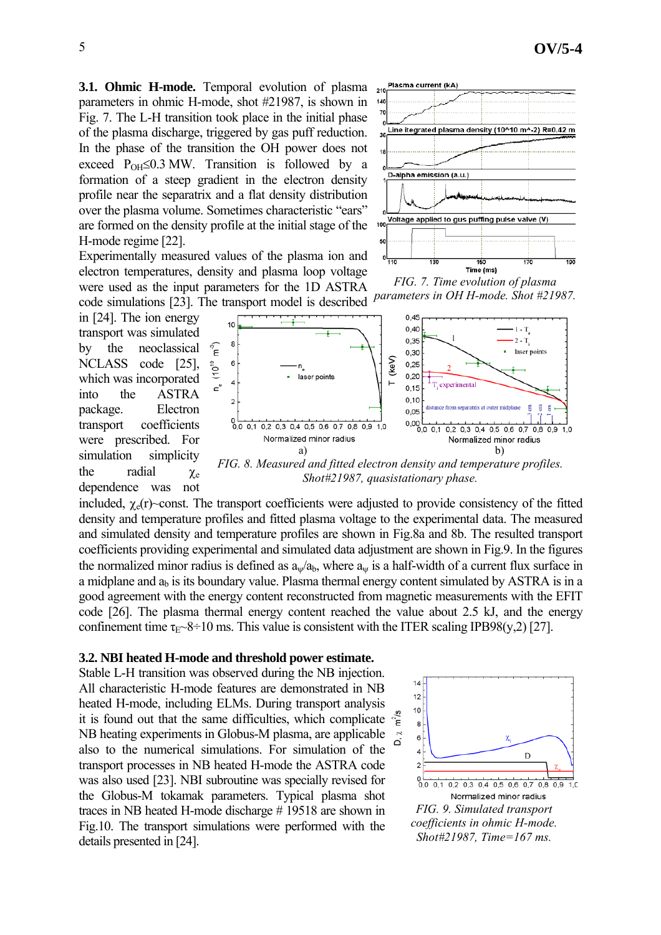**3.1. Ohmic H-mode.** Temporal evolution of plasma parameters in ohmic H-mode, shot #21987, is shown in Fig. 7. The L-H transition took place in the initial phase of the plasma discharge, triggered by gas puff reduction. In the phase of the transition the OH power does not exceed  $P_{OH} \leq 0.3$  MW. Transition is followed by a formation of a steep gradient in the electron density profile near the separatrix and a flat density distribution over the plasma volume. Sometimes characteristic "ears" are formed on the density profile at the initial stage of the H-mode regime [22].



Experimentally measured values of the plasma ion and electron temperatures, density and plasma loop voltage were used as the input parameters for the 1D ASTRA code simulations [23]. The transport model is described

in [24]. The ion energy transport was simulated by the neoclassical NCLASS code [25], which was incorporated into the ASTRA package. Electron transport coefficients were prescribed. For simulation simplicity the radial  $\chi_e$ dependence was not

*FIG. 7. Time evolution of plasma parameters in OH H-mode. Shot #21987.* 



*Shot#21987, quasistationary phase.* 

included,  $\chi_e(r)$  const. The transport coefficients were adjusted to provide consistency of the fitted density and temperature profiles and fitted plasma voltage to the experimental data. The measured and simulated density and temperature profiles are shown in Fig.8a and 8b. The resulted transport coefficients providing experimental and simulated data adjustment are shown in Fig.9. In the figures the normalized minor radius is defined as  $a_w/a_b$ , where  $a_w$  is a half-width of a current flux surface in a midplane and  $a<sub>b</sub>$  is its boundary value. Plasma thermal energy content simulated by ASTRA is in a good agreement with the energy content reconstructed from magnetic measurements with the EFIT code [26]. The plasma thermal energy content reached the value about 2.5 kJ, and the energy confinement time  $\tau_{E}$  –8÷10 ms. This value is consistent with the ITER scaling IPB98(y,2) [27].

#### **3.2. NBI heated H-mode and threshold power estimate.**

Stable L-H transition was observed during the NB injection. All characteristic H-mode features are demonstrated in NB heated H-mode, including ELMs. During transport analysis it is found out that the same difficulties, which complicate NB heating experiments in Globus-M plasma, are applicable also to the numerical simulations. For simulation of the transport processes in NB heated H-mode the ASTRA code was also used [23]. NBI subroutine was specially revised for the Globus-M tokamak parameters. Typical plasma shot traces in NB heated H-mode discharge # 19518 are shown in Fig.10. The transport simulations were performed with the details presented in [24].

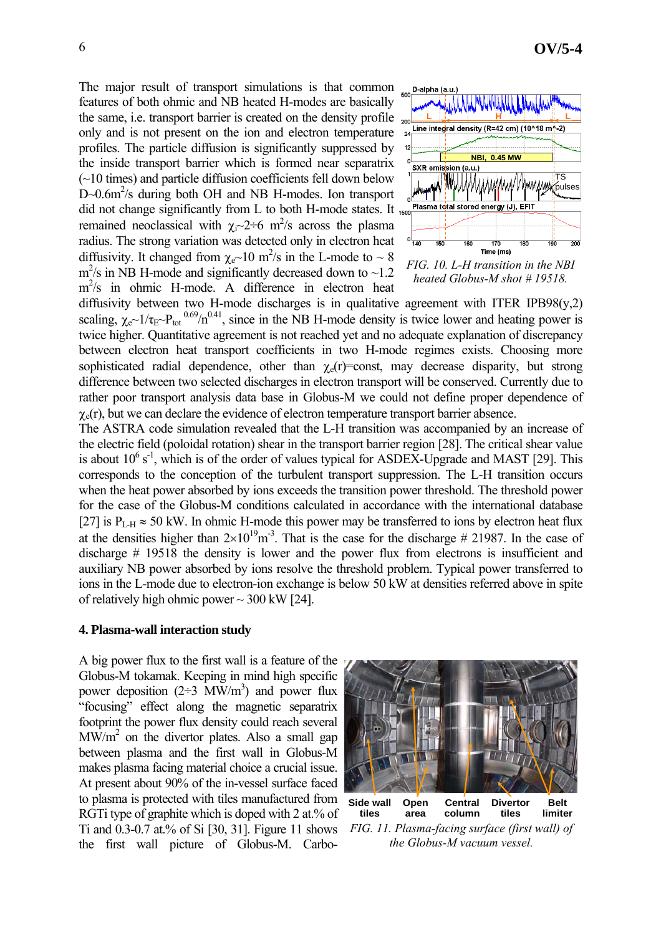The major result of transport simulations is that common features of both ohmic and NB heated H-modes are basically the same, i.e. transport barrier is created on the density profile only and is not present on the ion and electron temperature profiles. The particle diffusion is significantly suppressed by the inside transport barrier which is formed near separatrix (~10 times) and particle diffusion coefficients fell down below D~0.6m<sup>2</sup>/s during both OH and NB H-modes. Ion transport did not change significantly from L to both H-mode states. It 1500 remained neoclassical with  $\chi_i \sim 2 \div 6$  m<sup>2</sup>/s across the plasma radius. The strong variation was detected only in electron heat diffusivity. It changed from  $\chi_e \sim 10 \text{ m}^2/\text{s}$  in the L-mode to  $\sim 8$  $m^2$ /s in NB H-mode and significantly decreased down to  $\sim$ 1.2 m<sup>2</sup>/s in ohmic H-mode. A difference in electron heat



*FIG. 10. L-H transition in the NBI heated Globus-M shot # 19518.* 

diffusivity between two H-mode discharges is in qualitative agreement with ITER IPB98 $(y,2)$ scaling,  $\chi_{e}$   $\sim$  1/ $\tau_{E}$   $\sim$  P<sub>tot</sub> 0.69/n<sup>0.41</sup>, since in the NB H-mode density is twice lower and heating power is twice higher. Quantitative agreement is not reached yet and no adequate explanation of discrepancy between electron heat transport coefficients in two H-mode regimes exists. Choosing more sophisticated radial dependence, other than  $\chi_e(r)$ =const, may decrease disparity, but strong difference between two selected discharges in electron transport will be conserved. Currently due to rather poor transport analysis data base in Globus-M we could not define proper dependence of  $\gamma_e(r)$ , but we can declare the evidence of electron temperature transport barrier absence.

The ASTRA code simulation revealed that the L-H transition was accompanied by an increase of the electric field (poloidal rotation) shear in the transport barrier region [28]. The critical shear value is about  $10^6$  s<sup>-1</sup>, which is of the order of values typical for ASDEX-Upgrade and MAST [29]. This corresponds to the conception of the turbulent transport suppression. The L-H transition occurs when the heat power absorbed by ions exceeds the transition power threshold. The threshold power for the case of the Globus-M conditions calculated in accordance with the international database [27] is  $P_{L-H} \approx 50$  kW. In ohmic H-mode this power may be transferred to ions by electron heat flux at the densities higher than  $2\times10^{19}$ m<sup>-3</sup>. That is the case for the discharge # 21987. In the case of discharge # 19518 the density is lower and the power flux from electrons is insufficient and auxiliary NB power absorbed by ions resolve the threshold problem. Typical power transferred to ions in the L-mode due to electron-ion exchange is below 50 kW at densities referred above in spite of relatively high ohmic power  $\sim$  300 kW [24].

#### **4. Plasma-wall interaction study**

A big power flux to the first wall is a feature of the Globus-M tokamak. Keeping in mind high specific power deposition  $(2\div 3 \text{ MW/m}^3)$  and power flux "focusing" effect along the magnetic separatrix footprint the power flux density could reach several  $\text{MW/m}^2$  on the divertor plates. Also a small gap between plasma and the first wall in Globus-M makes plasma facing material choice a crucial issue. At present about 90% of the in-vessel surface faced to plasma is protected with tiles manufactured from RGTi type of graphite which is doped with 2 at.% of Ti and 0.3-0.7 at.% of Si [30, 31]. Figure 11 shows the first wall picture of Globus-M. Carbo-



**tiles Divertor tiles limiter Open area Central column** *FIG. 11. Plasma-facing surface (first wall) of the Globus-M vacuum vessel.*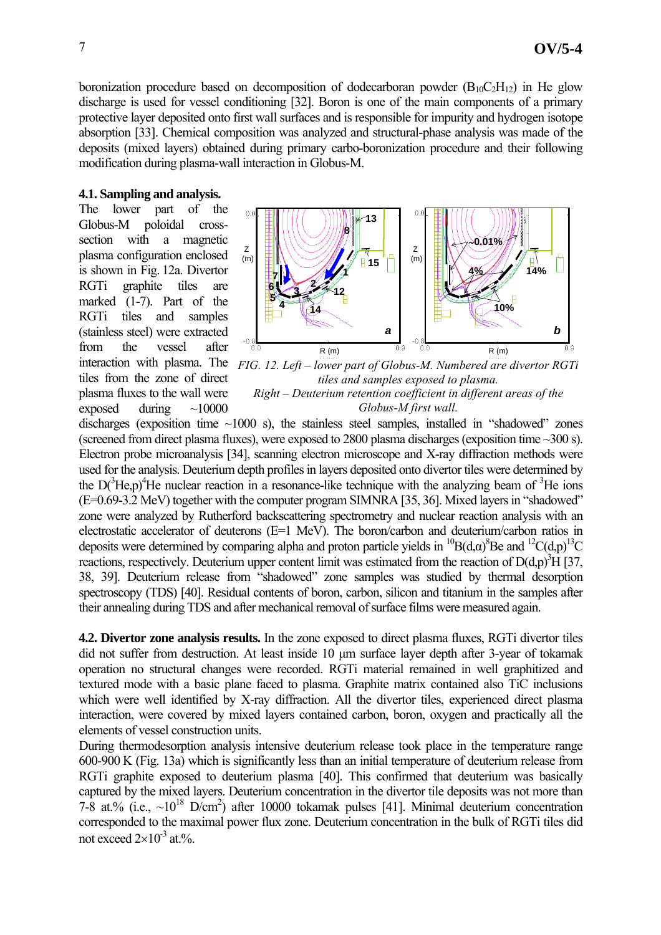boronization procedure based on decomposition of dodecarboran powder  $(B_{10}C_2H_{12})$  in He glow discharge is used for vessel conditioning [32]. Boron is one of the main components of a primary protective layer deposited onto first wall surfaces and is responsible for impurity and hydrogen isotope absorption [33]. Chemical composition was analyzed and structural-phase analysis was made of the deposits (mixed layers) obtained during primary carbo-boronization procedure and their following modification during plasma-wall interaction in Globus-M.

### **4.1. Sampling and analysis.**

The lower part of the Globus-M poloidal crosssection with a magnetic plasma configuration enclosed is shown in Fig. 12a. Divertor RGTi graphite tiles are marked (1-7). Part of the RGTi tiles and samples (stainless steel) were extracted from the vessel after interaction with plasma. The tiles from the zone of direct plasma fluxes to the wall were exposed during  $\sim$ 10000



*FIG. 12. Left – lower part of Globus-M. Numbered are divertor RGTi tiles and samples exposed to plasma. Right – Deuterium retention coefficient in different areas of the Globus-M first wall.* 

discharges (exposition time  $\sim$ 1000 s), the stainless steel samples, installed in "shadowed" zones (screened from direct plasma fluxes), were exposed to 2800 plasma discharges (exposition time ~300 s). Electron probe microanalysis [34], scanning electron microscope and X-ray diffraction methods were used for the analysis. Deuterium depth profiles in layers deposited onto divertor tiles were determined by the  $D(^{3}He, p)^{4}He$  nuclear reaction in a resonance-like technique with the analyzing beam of  $^{3}He$  ions (E=0.69-3.2 MeV) together with the computer program SIMNRA [35, 36]. Mixed layers in "shadowed" zone were analyzed by Rutherford backscattering spectrometry and nuclear reaction analysis with an electrostatic accelerator of deuterons (E=1 MeV). The boron/carbon and deuterium/carbon ratios in deposits were determined by comparing alpha and proton particle yields in <sup>10</sup>B(d, $\alpha$ )<sup>8</sup>Be and <sup>12</sup>C(d,p)<sup>13</sup>C reactions, respectively. Deuterium upper content limit was estimated from the reaction of  $D(d,p)^3H$  [37, 38, 39]. Deuterium release from "shadowed" zone samples was studied by thermal desorption spectroscopy (TDS) [40]. Residual contents of boron, carbon, silicon and titanium in the samples after their annealing during TDS and after mechanical removal of surface films were measured again.

**4.2. Divertor zone analysis results.** In the zone exposed to direct plasma fluxes, RGTi divertor tiles did not suffer from destruction. At least inside 10 µm surface layer depth after 3-year of tokamak operation no structural changes were recorded. RGTi material remained in well graphitized and textured mode with a basic plane faced to plasma. Graphite matrix contained also TiC inclusions which were well identified by X-ray diffraction. All the divertor tiles, experienced direct plasma interaction, were covered by mixed layers contained carbon, boron, oxygen and practically all the elements of vessel construction units.

During thermodesorption analysis intensive deuterium release took place in the temperature range 600-900 K (Fig. 13a) which is significantly less than an initial temperature of deuterium release from RGTi graphite exposed to deuterium plasma [40]. This confirmed that deuterium was basically captured by the mixed layers. Deuterium concentration in the divertor tile deposits was not more than 7-8 at.% (i.e.,  $\sim 10^{18}$  D/cm<sup>2</sup>) after 10000 tokamak pulses [41]. Minimal deuterium concentration corresponded to the maximal power flux zone. Deuterium concentration in the bulk of RGTi tiles did not exceed  $2\times10^{-3}$  at %.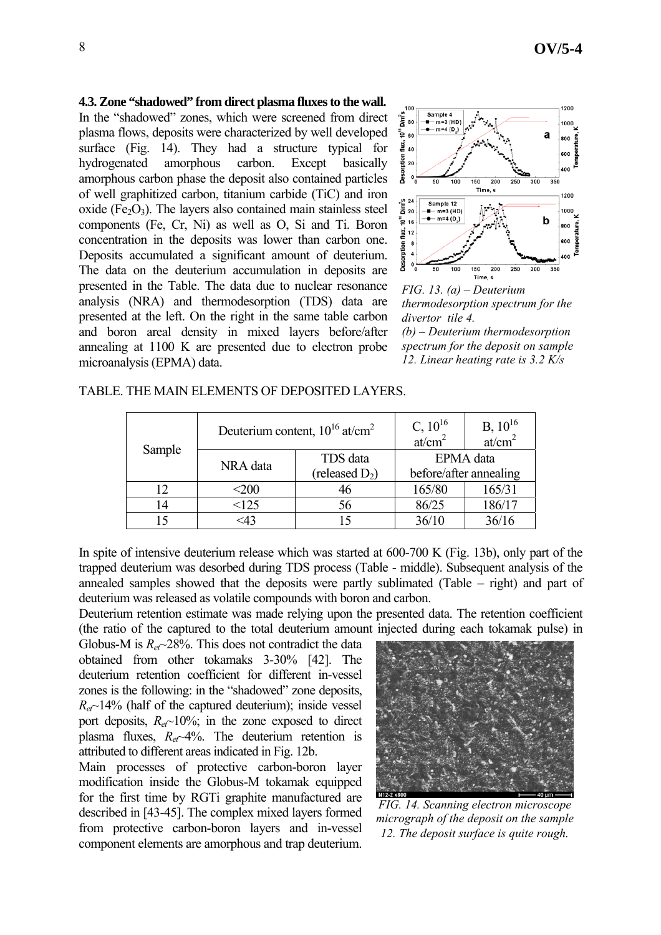## **4.3. Zone "shadowed" from direct plasma fluxes to the wall.**

In the "shadowed" zones, which were screened from direct plasma flows, deposits were characterized by well developed surface (Fig. 14). They had a structure typical for hydrogenated amorphous carbon. Except basically amorphous carbon phase the deposit also contained particles of well graphitized carbon, titanium carbide (TiC) and iron oxide (Fe<sub>2</sub>O<sub>3</sub>). The layers also contained main stainless steel components (Fe, Cr, Ni) as well as O, Si and Ti. Boron concentration in the deposits was lower than carbon one. Deposits accumulated a significant amount of deuterium. The data on the deuterium accumulation in deposits are presented in the Table. The data due to nuclear resonance analysis (NRA) and thermodesorption (TDS) data are presented at the left. On the right in the same table carbon and boron areal density in mixed layers before/after annealing at 1100 K are presented due to electron probe microanalysis (EPMA) data.



*FIG. 13. (а) – Deuterium thermodesorption spectrum for the divertor tile 4. (b) – Deuterium thermodesorption spectrum for the deposit on sample 12. Linear heating rate is 3.2 K/s* 

| Sample | Deuterium content, $10^{16}$ at/cm <sup>2</sup> |                   | C, $10^{16}$<br>at/cm <sup>2</sup> | $B, 10^{16}$<br>at/cm <sup>2</sup> |
|--------|-------------------------------------------------|-------------------|------------------------------------|------------------------------------|
|        | NRA data                                        | TDS data          | EPMA data                          |                                    |
|        |                                                 | (released $D_2$ ) | before/after annealing             |                                    |
| 12     | $<$ 200                                         | 46                | 165/80                             | 165/31                             |
| 14     | <125                                            | 56                | 86/25                              | 186/17                             |
| 1٢     | :43                                             | 15                | 36/10                              | 36/16                              |

TABLE. THE MAIN ELEMENTS OF DEPOSITED LAYERS.

In spite of intensive deuterium release which was started at 600-700 K (Fig. 13b), only part of the trapped deuterium was desorbed during TDS process (Table - middle). Subsequent analysis of the annealed samples showed that the deposits were partly sublimated (Table – right) and part of deuterium was released as volatile compounds with boron and carbon.

Deuterium retention estimate was made relying upon the presented data. The retention coefficient (the ratio of the captured to the total deuterium amount injected during each tokamak pulse) in

Globus-M is  $R_{e} \sim 28\%$ . This does not contradict the data obtained from other tokamaks 3-30% [42]. The deuterium retention coefficient for different in-vessel zones is the following: in the "shadowed" zone deposits, *Ret~*14% (half of the captured deuterium); inside vessel port deposits,  $R_{e\tau}$  10%; in the zone exposed to direct plasma fluxes,  $R_e \sim 4\%$ . The deuterium retention is attributed to different areas indicated in Fig. 12b.

Main processes of protective carbon-boron layer modification inside the Globus-M tokamak equipped for the first time by RGTi graphite manufactured are described in [43-45]. The complex mixed layers formed from protective carbon-boron layers and in-vessel component elements are amorphous and trap deuterium.



*FIG. 14. Scanning electron microscope micrograph of the deposit on the sample 12. The deposit surface is quite rough.*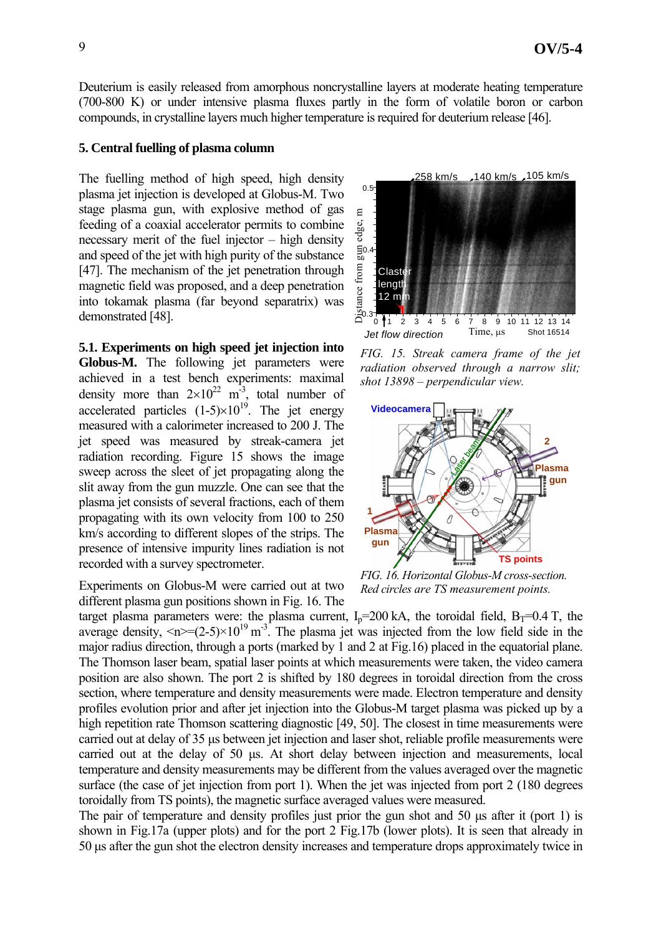Deuterium is easily released from amorphous noncrystalline layers at moderate heating temperature (700-800 K) оr under intensive plasma fluxes partly in the form of volatile boron or carbon compounds, in crystalline layers much higher temperature is required for deuterium release [46].

#### **5. Central fuelling of plasma column**

The fuelling method of high speed, high density plasma jet injection is developed at Globus-M. Two stage plasma gun, with explosive method of gas feeding of a coaxial accelerator permits to combine necessary merit of the fuel injector – high density and speed of the jet with high purity of the substance [47]. The mechanism of the jet penetration through magnetic field was proposed, and a deep penetration into tokamak plasma (far beyond separatrix) was demonstrated [48].

**5.1. Experiments on high speed jet injection into Globus-M.** The following jet parameters were achieved in a test bench experiments: maximal density more than  $2\times10^{22}$  m<sup>-3</sup>, total number of accelerated particles  $(1-5)\times10^{19}$ . The jet energy measured with a calorimeter increased to 200 J. The jet speed was measured by streak-camera jet radiation recording. Figure 15 shows the image sweep across the sleet of jet propagating along the slit away from the gun muzzle. One can see that the plasma jet consists of several fractions, each of them propagating with its own velocity from 100 to 250 km/s according to different slopes of the strips. The presence of intensive impurity lines radiation is not recorded with a survey spectrometer.

Experiments on Globus-M were carried out at two different plasma gun positions shown in Fig. 16. The



*FIG. 15. Streak camera frame of the jet radiation observed through a narrow slit; shot 13898 – perpendicular view.* 



*FIG. 16. Horizontal Globus-M cross-section. Red circles are TS measurement points.* 

target plasma parameters were: the plasma current,  $I<sub>n</sub>=200$  kA, the toroidal field,  $B<sub>T</sub>=0.4$  T, the average density,  $\langle n \rangle = (2.5) \times 10^{19} \text{ m}^3$ . The plasma jet was injected from the low field side in the major radius direction, through a ports (marked by 1 and 2 at Fig.16) placed in the equatorial plane. The Thomson laser beam, spatial laser points at which measurements were taken, the video camera position are also shown. The port 2 is shifted by 180 degrees in toroidal direction from the cross section, where temperature and density measurements were made. Electron temperature and density profiles evolution prior and after jet injection into the Globus-M target plasma was picked up by a high repetition rate Thomson scattering diagnostic [49, 50]. The closest in time measurements were carried out at delay of 35 µs between jet injection and laser shot, reliable profile measurements were carried out at the delay of 50 µs. At short delay between injection and measurements, local temperature and density measurements may be different from the values averaged over the magnetic surface (the case of jet injection from port 1). When the jet was injected from port 2 (180 degrees toroidally from TS points), the magnetic surface averaged values were measured.

The pair of temperature and density profiles just prior the gun shot and 50 µs after it (port 1) is shown in Fig.17a (upper plots) and for the port 2 Fig.17b (lower plots). It is seen that already in 50 µs after the gun shot the electron density increases and temperature drops approximately twice in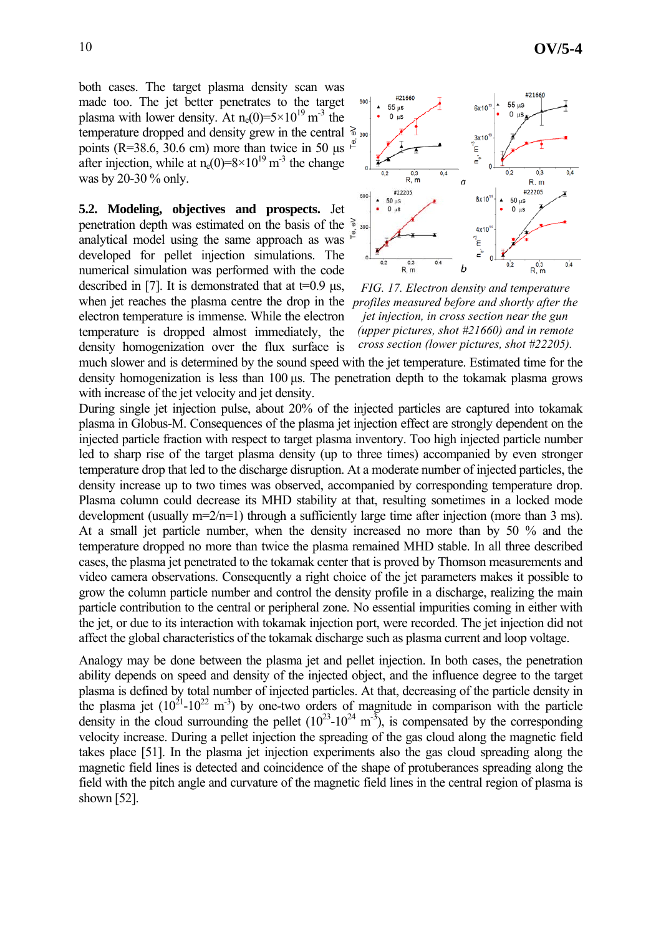both cases. The target plasma density scan was made too. The jet better penetrates to the target plasma with lower density. At  $n_e(0)=5\times10^{19}$  m<sup>-3</sup> the temperature dropped and density grew in the central  $\delta$  300 points (R=38.6, 30.6 cm) more than twice in 50  $\mu$ s after injection, while at  $n_e(0)=8\times10^{19}$  m<sup>-3</sup> the change was by 20-30 % only.

when jet reaches the plasma centre the drop in the *profiles measured before and shortly after the* **5.2. Modeling, objectives and prospects.** Jet penetration depth was estimated on the basis of the  $\frac{1}{2}$ analytical model using the same approach as was developed for pellet injection simulations. The numerical simulation was performed with the code described in [7]. It is demonstrated that at  $t=0.9$   $\mu$ s, electron temperature is immense. While the electron temperature is dropped almost immediately, the density homogenization over the flux surface is



*FIG. 17. Electron density and temperature jet injection, in cross section near the gun (upper pictures, shot #21660) and in remote cross section (lower pictures, shot #22205).* 

much slower and is determined by the sound speed with the jet temperature. Estimated time for the density homogenization is less than 100 µs. The penetration depth to the tokamak plasma grows with increase of the jet velocity and jet density.

During single jet injection pulse, about 20% of the injected particles are captured into tokamak plasma in Globus-M. Consequences of the plasma jet injection effect are strongly dependent on the injected particle fraction with respect to target plasma inventory. Too high injected particle number led to sharp rise of the target plasma density (up to three times) accompanied by even stronger temperature drop that led to the discharge disruption. At a moderate number of injected particles, the density increase up to two times was observed, accompanied by corresponding temperature drop. Plasma column could decrease its MHD stability at that, resulting sometimes in a locked mode development (usually m=2/n=1) through a sufficiently large time after injection (more than 3 ms). At a small jet particle number, when the density increased no more than by 50 % and the temperature dropped no more than twice the plasma remained MHD stable. In all three described cases, the plasma jet penetrated to the tokamak center that is proved by Thomson measurements and video camera observations. Consequently a right choice of the jet parameters makes it possible to grow the column particle number and control the density profile in a discharge, realizing the main particle contribution to the central or peripheral zone. No essential impurities coming in either with the jet, or due to its interaction with tokamak injection port, were recorded. The jet injection did not affect the global characteristics of the tokamak discharge such as plasma current and loop voltage.

Analogy may be done between the plasma jet and pellet injection. In both cases, the penetration ability depends on speed and density of the injected object, and the influence degree to the target plasma is defined by total number of injected particles. At that, decreasing of the particle density in the plasma jet  $(10^{21} - 10^{22} \text{ m}^3)$  by one-two orders of magnitude in comparison with the particle density in the cloud surrounding the pellet  $(10^{23} - 10^{24} \text{ m}^3)$ , is compensated by the corresponding velocity increase. During a pellet injection the spreading of the gas cloud along the magnetic field takes place [51]. In the plasma jet injection experiments also the gas cloud spreading along the magnetic field lines is detected and coincidence of the shape of protuberances spreading along the field with the pitch angle and curvature of the magnetic field lines in the central region of plasma is shown [52].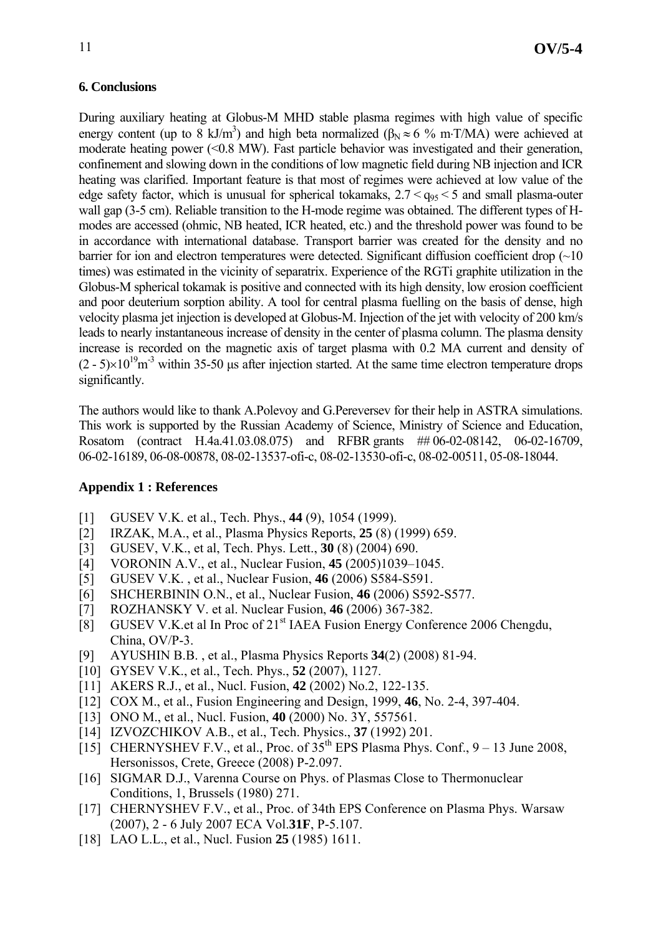During auxiliary heating at Globus-M MHD stable plasma regimes with high value of specific energy content (up to 8 kJ/m<sup>3</sup>) and high beta normalized ( $\beta_N \approx 6$  % m⋅T/MA) were achieved at moderate heating power (<0.8 MW). Fast particle behavior was investigated and their generation, confinement and slowing down in the conditions of low magnetic field during NB injection and ICR heating was clarified. Important feature is that most of regimes were achieved at low value of the edge safety factor, which is unusual for spherical tokamaks,  $2.7 < g<sub>95</sub> < 5$  and small plasma-outer wall gap (3-5 cm). Reliable transition to the H-mode regime was obtained. The different types of Hmodes are accessed (ohmic, NB heated, ICR heated, etc.) and the threshold power was found to be in accordance with international database. Transport barrier was created for the density and no barrier for ion and electron temperatures were detected. Significant diffusion coefficient drop  $(\sim 10$ times) was estimated in the vicinity of separatrix. Experience of the RGTi graphite utilization in the Globus-M spherical tokamak is positive and connected with its high density, low erosion coefficient and poor deuterium sorption ability. A tool for central plasma fuelling on the basis of dense, high velocity plasma jet injection is developed at Globus-M. Injection of the jet with velocity of 200 km/s leads to nearly instantaneous increase of density in the center of plasma column. The plasma density increase is recorded on the magnetic axis of target plasma with 0.2 MA current and density of  $(2 - 5) \times 10^{19}$ m<sup>-3</sup> within 35-50 us after injection started. At the same time electron temperature drops significantly.

The authors would like to thank A.Polevoy and G.Pereversev for their help in ASTRA simulations. This work is supported by the Russian Academy of Science, Ministry of Science and Education, Rosatom (contract H.4a.41.03.08.075) and RFBR grants ## 06-02-08142, 06-02-16709, 06-02-16189, 06-08-00878, 08-02-13537-ofi-c, 08-02-13530-ofi-c, 08-02-00511, 05-08-18044.

### **Appendix 1 : References**

- [1] GUSEV V.K. et al., Tech. Phys., **44** (9), 1054 (1999).
- [2] IRZAK, M.A., et al., Plasma Physics Reports, **25** (8) (1999) 659.
- [3] GUSEV, V.K., et al, Tech. Phys. Lett., **30** (8) (2004) 690.
- [4] VORONIN A.V., et al., Nuclear Fusion, **45** (2005)1039–1045.
- [5] GUSEV V.K. , et al., Nuclear Fusion, **46** (2006) S584-S591.
- [6] SHCHERBININ O.N., et al., Nuclear Fusion, **46** (2006) S592-S577.
- [7] ROZHANSKY V. et al. Nuclear Fusion, **46** (2006) 367-382.
- [8] GUSEV V.K.et al In Proc of 21st IAEA Fusion Energy Conference 2006 Chengdu, China, OV/P-3.
- [9] AYUSHIN B.B. , et al., Plasma Physics Reports **34**(2) (2008) 81-94.
- [10] GYSEV V.K., et al., Tech. Phys., **52** (2007), 1127.
- [11] AKERS R.J., et al., Nucl. Fusion, **42** (2002) No.2, 122-135.
- [12] COX M., et al., Fusion Engineering and Design, 1999, **46**, No. 2-4, 397-404.
- [13] ONO M., et al., Nucl. Fusion, **40** (2000) No. 3Y, 557561.
- [14] IZVOZCHIKOV A.B., et al., Tech. Physics., **37** (1992) 201.
- [15] CHERNYSHEV F.V., et al., Proc. of  $35<sup>th</sup>$  EPS Plasma Phys. Conf., 9 13 June 2008, Hersonissos, Crete, Greece (2008) P-2.097.
- [16] SIGMAR D.J., Varenna Course on Phys. of Plasmas Close to Thermonuclear Conditions, 1, Brussels (1980) 271.
- [17] CHERNYSHEV F.V., et al., Proc. of 34th EPS Conference on Plasma Phys. Warsaw (2007), 2 - 6 July 2007 ECA Vol.**31F**, P-5.107.
- [18] LAO L.L., et al., Nucl. Fusion **25** (1985) 1611.